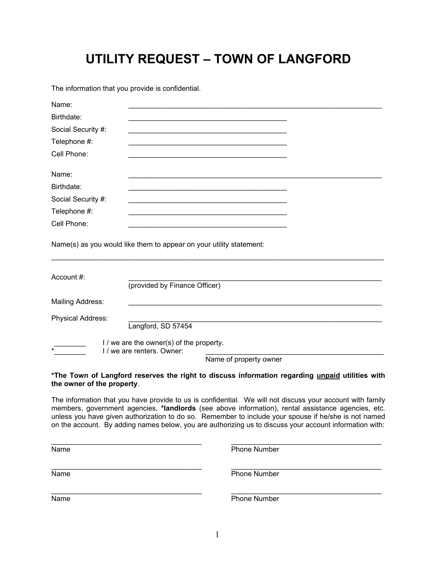## **UTILITY REQUEST – TOWN OF LANGFORD**

The information that you provide is confidential.

| Name:              |                                                                                                |  |
|--------------------|------------------------------------------------------------------------------------------------|--|
| Birthdate:         |                                                                                                |  |
| Social Security #: |                                                                                                |  |
| Telephone #:       |                                                                                                |  |
| Cell Phone:        |                                                                                                |  |
| Name:              |                                                                                                |  |
| Birthdate:         |                                                                                                |  |
| Social Security #: |                                                                                                |  |
| Telephone #:       |                                                                                                |  |
| Cell Phone:        |                                                                                                |  |
|                    | Name(s) as you would like them to appear on your utility statement:                            |  |
| Account #:         |                                                                                                |  |
|                    | (provided by Finance Officer)                                                                  |  |
| Mailing Address:   |                                                                                                |  |
| Physical Address:  |                                                                                                |  |
|                    | Langford, SD 57454                                                                             |  |
|                    | I / we are the owner(s) of the property.<br>I / we are renters. Owner:                         |  |
|                    | Name of property owner                                                                         |  |
|                    | The Town of Langford reserves the right to discuss information regarding unpaid utilities with |  |

#### **\*The Town of Langford reserves the right to discuss information regarding unpaid utilities with the owner of the property**.

The information that you have provide to us is confidential. We will not discuss your account with family members, government agencies, **\*landlords** (see above information), rental assistance agencies, etc. unless you have given authorization to do so. Remember to include your spouse if he/she is not named on the account. By adding names below, you are authorizing us to discuss your account information with:

| Name | <b>Phone Number</b> |
|------|---------------------|
| Name | <b>Phone Number</b> |
| Name | <b>Phone Number</b> |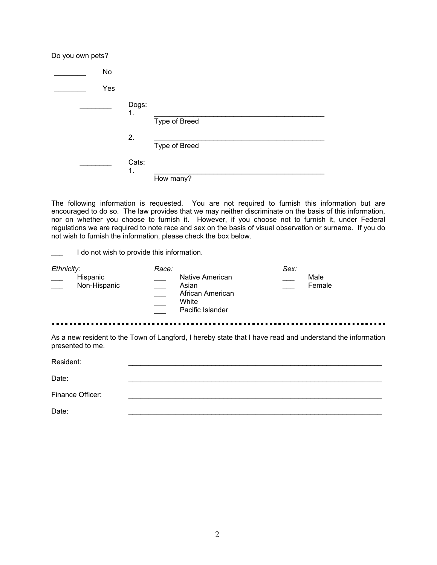| Do you own pets? |     |             |               |
|------------------|-----|-------------|---------------|
|                  | No  |             |               |
|                  | Yes |             |               |
|                  |     | Dogs:<br>1. | Type of Breed |
|                  |     | 2.          | Type of Breed |
|                  |     | Cats:<br>1. | How many?     |

The following information is requested. You are not required to furnish this information but are encouraged to do so. The law provides that we may neither discriminate on the basis of this information, nor on whether you choose to furnish it. However, if you choose not to furnish it, under Federal regulations we are required to note race and sex on the basis of visual observation or surname. If you do not wish to furnish the information, please check the box below.

I do not wish to provide this information.

| Ethnicity:                                | Race:                                                                     | Sex:           |
|-------------------------------------------|---------------------------------------------------------------------------|----------------|
| Hispanic<br>Non-Hispanic<br>$\sim$ $\sim$ | Native American<br>Asian<br>African American<br>White<br>Pacific Islander | Male<br>Female |
|                                           |                                                                           |                |

As a new resident to the Town of Langford, I hereby state that I have read and understand the information presented to me.

. . . . .

Resident: \_\_\_\_\_\_\_\_\_\_\_\_\_\_\_\_\_\_\_\_\_\_\_\_\_\_\_\_\_\_\_\_\_\_\_\_\_\_\_\_\_\_\_\_\_\_\_\_\_\_\_\_\_\_\_\_\_\_\_\_\_\_\_\_

 $Date:$ 

Finance Officer:

Date: \_\_\_\_\_\_\_\_\_\_\_\_\_\_\_\_\_\_\_\_\_\_\_\_\_\_\_\_\_\_\_\_\_\_\_\_\_\_\_\_\_\_\_\_\_\_\_\_\_\_\_\_\_\_\_\_\_\_\_\_\_\_\_\_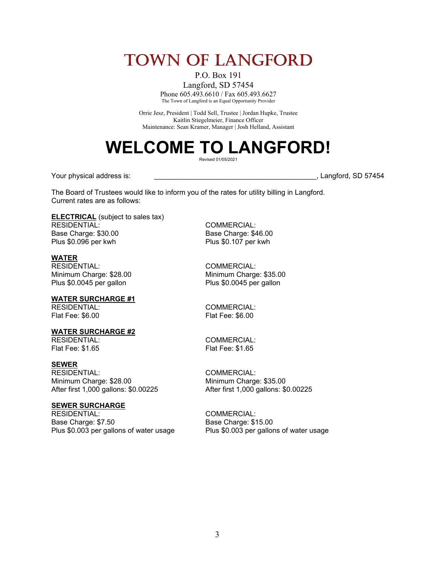## **Town of Langford**

P.O. Box 191

Langford, SD 57454 Phone 605.493.6610 / Fax 605.493.6627 The Town of Langford is an Equal Opportunity Provider

Orrie Jesz, President | Todd Sell, Trustee | Jordan Hupke, Trustee Kaitlin Stiegelmeier, Finance Officer Maintenance: Sean Kramer, Manager | Josh Helland, Assistant

# **WELCOME TO LANGFORD!**

Revised 01/05/2021

Your physical address is: \_\_\_\_\_\_\_\_\_\_\_\_\_\_\_\_\_\_\_\_\_\_\_\_\_\_\_\_\_\_\_\_\_\_\_\_\_\_\_\_\_, Langford, SD 57454

The Board of Trustees would like to inform you of the rates for utility billing in Langford. Current rates are as follows:

**ELECTRICAL** (subject to sales tax) RESIDENTIAL: COMMERCIAL: Base Charge: \$30.00 Base Charge: \$46.00 Plus \$0.096 per kwh Plus \$0.107 per kwh

**WATER** RESIDENTIAL: COMMERCIAL: Plus \$0.0045 per gallon

**WATER SURCHARGE #1**

Flat Fee: \$6.00 Flat Fee: \$6.00

### **WATER SURCHARGE #2**

Flat Fee: \$1.65 Flat Fee: \$1.65

#### **SEWER**

RESIDENTIAL: COMMERCIAL: Minimum Charge: \$28.00<br>After first 1,000 gallons: \$0.00225 After first 1,000 gallons: \$

## **SEWER SURCHARGE**

Base Charge: \$7.50 Base Charge: \$15.00

Minimum Charge: \$28.00 Minimum Charge: \$35.00<br>Plus \$0.0045 per gallon Plus \$0.0045 per gallon

RESIDENTIAL: COMMERCIAL:

COMMERCIAL:

After first 1,000 gallons: \$0.00225 After first 1,000 gallons: \$0.00225

COMMERCIAL: Plus \$0.003 per gallons of water usage Plus \$0.003 per gallons of water usage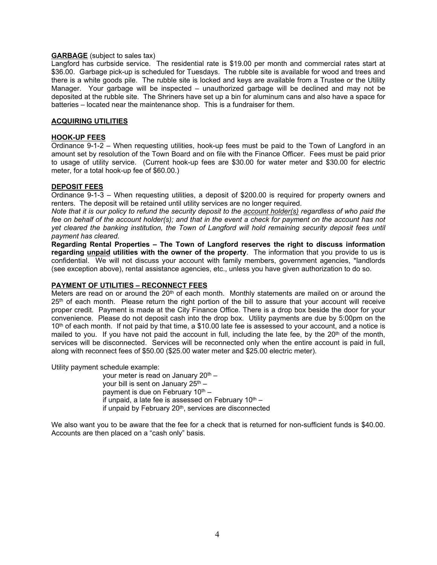#### **GARBAGE** (subject to sales tax)

Langford has curbside service. The residential rate is \$19.00 per month and commercial rates start at \$36.00. Garbage pick-up is scheduled for Tuesdays. The rubble site is available for wood and trees and there is a white goods pile. The rubble site is locked and keys are available from a Trustee or the Utility Manager. Your garbage will be inspected – unauthorized garbage will be declined and may not be deposited at the rubble site. The Shriners have set up a bin for aluminum cans and also have a space for batteries – located near the maintenance shop. This is a fundraiser for them.

#### **ACQUIRING UTILITIES**

#### **HOOK-UP FEES**

Ordinance 9-1-2 – When requesting utilities, hook-up fees must be paid to the Town of Langford in an amount set by resolution of the Town Board and on file with the Finance Officer. Fees must be paid prior to usage of utility service. (Current hook-up fees are \$30.00 for water meter and \$30.00 for electric meter, for a total hook-up fee of \$60.00.)

#### **DEPOSIT FEES**

Ordinance 9-1-3 – When requesting utilities, a deposit of \$200.00 is required for property owners and renters. The deposit will be retained until utility services are no longer required.

Note that it is our policy to refund the security deposit to the account holder(s) regardless of who paid the fee on behalf of the account holder(s); and that in the event a check for payment on the account has not *yet cleared the banking institution, the Town of Langford will hold remaining security deposit fees until payment has cleared.*

**Regarding Rental Properties – The Town of Langford reserves the right to discuss information regarding unpaid utilities with the owner of the property**. The information that you provide to us is confidential. We will not discuss your account with family members, government agencies, \*landlords (see exception above), rental assistance agencies, etc., unless you have given authorization to do so.

#### **PAYMENT OF UTILITIES – RECONNECT FEES**

Meters are read on or around the 20<sup>th</sup> of each month. Monthly statements are mailed on or around the 25<sup>th</sup> of each month. Please return the right portion of the bill to assure that your account will receive proper credit. Payment is made at the City Finance Office. There is a drop box beside the door for your convenience. Please do not deposit cash into the drop box. Utility payments are due by 5:00pm on the 10<sup>th</sup> of each month. If not paid by that time, a \$10.00 late fee is assessed to your account, and a notice is mailed to you. If you have not paid the account in full, including the late fee, by the 20<sup>th</sup> of the month, services will be disconnected. Services will be reconnected only when the entire account is paid in full, along with reconnect fees of \$50.00 (\$25.00 water meter and \$25.00 electric meter).

Utility payment schedule example:

your meter is read on January 20<sup>th</sup> – your bill is sent on January 25<sup>th</sup> – payment is due on February 10<sup>th</sup> – if unpaid, a late fee is assessed on February 10 $^{\rm th}$  – if unpaid by February 20<sup>th</sup>, services are disconnected

We also want you to be aware that the fee for a check that is returned for non-sufficient funds is \$40.00. Accounts are then placed on a "cash only" basis.